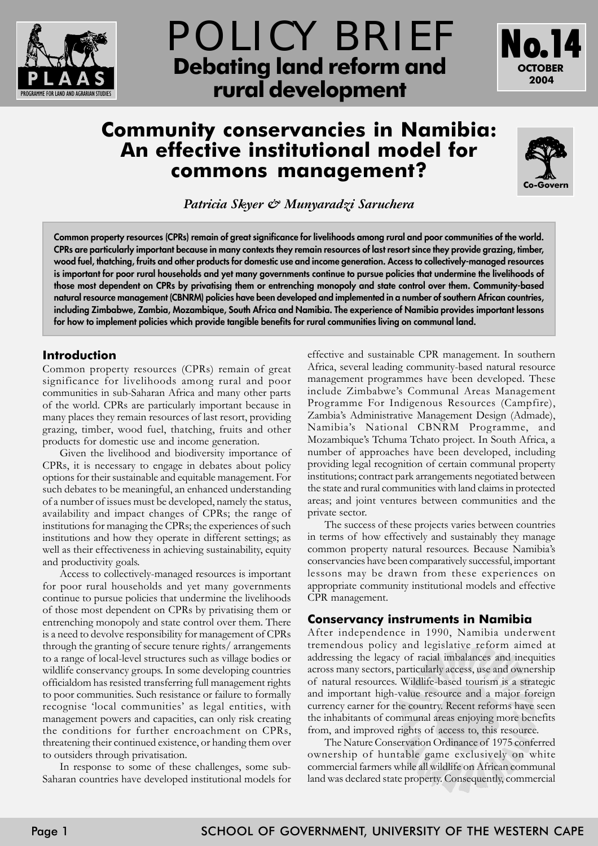



# **Community conservancies in Namibia: An effective institutional model for commons management?**



*Patricia Skyer & Munyaradzi Saruchera*

**Common property resources (CPRs) remain of great significance for livelihoods among rural and poor communities of the world. CPRs are particularly important because in many contexts they remain resources of last resort since they provide grazing, timber, wood fuel, thatching, fruits and other products for domestic use and income generation. Access to collectively-managed resources is important for poor rural households and yet many governments continue to pursue policies that undermine the livelihoods of those most dependent on CPRs by privatising them or entrenching monopoly and state control over them. Community-based natural resource management (CBNRM) policies have been developed and implemented in a number of southern African countries, including Zimbabwe, Zambia, Mozambique, South Africa and Namibia. The experience of Namibia provides important lessons for how to implement policies which provide tangible benefits for rural communities living on communal land.**

# **Introduction**

Common property resources (CPRs) remain of great significance for livelihoods among rural and poor communities in sub-Saharan Africa and many other parts of the world. CPRs are particularly important because in many places they remain resources of last resort, providing grazing, timber, wood fuel, thatching, fruits and other products for domestic use and income generation.

Given the livelihood and biodiversity importance of CPRs, it is necessary to engage in debates about policy options for their sustainable and equitable management. For such debates to be meaningful, an enhanced understanding of a number of issues must be developed, namely the status, availability and impact changes of CPRs; the range of institutions for managing the CPRs; the experiences of such institutions and how they operate in different settings; as well as their effectiveness in achieving sustainability, equity and productivity goals.

Access to collectively-managed resources is important for poor rural households and yet many governments continue to pursue policies that undermine the livelihoods of those most dependent on CPRs by privatising them or entrenching monopoly and state control over them. There is a need to devolve responsibility for management of CPRs through the granting of secure tenure rights/ arrangements to a range of local-level structures such as village bodies or wildlife conservancy groups. In some developing countries officialdom has resisted transferring full management rights to poor communities. Such resistance or failure to formally recognise 'local communities' as legal entities, with management powers and capacities, can only risk creating the conditions for further encroachment on CPRs, threatening their continued existence, or handing them over to outsiders through privatisation.

In response to some of these challenges, some sub-Saharan countries have developed institutional models for effective and sustainable CPR management. In southern Africa, several leading community-based natural resource management programmes have been developed. These include Zimbabwe's Communal Areas Management Programme For Indigenous Resources (Campfire), Zambiaís Administrative Management Design (Admade), Namibiaís National CBNRM Programme, and Mozambique's Tchuma Tchato project. In South Africa, a number of approaches have been developed, including providing legal recognition of certain communal property institutions; contract park arrangements negotiated between the state and rural communities with land claims in protected areas; and joint ventures between communities and the private sector.

The success of these projects varies between countries in terms of how effectively and sustainably they manage common property natural resources. Because Namibiaís conservancies have been comparatively successful, important lessons may be drawn from these experiences on appropriate community institutional models and effective CPR management.

# **Conservancy instruments in Namibia**

After independence in 1990, Namibia underwent tremendous policy and legislative reform aimed at addressing the legacy of racial imbalances and inequities across many sectors, particularly access, use and ownership of natural resources. Wildlife-based tourism is a strategic and important high-value resource and a major foreign currency earner for the country. Recent reforms have seen the inhabitants of communal areas enjoying more benefits from, and improved rights of access to, this resource.

The Nature Conservation Ordinance of 1975 conferred ownership of huntable game exclusively on white commercial farmers while all wildlife on African communal land was declared state property. Consequently, commercial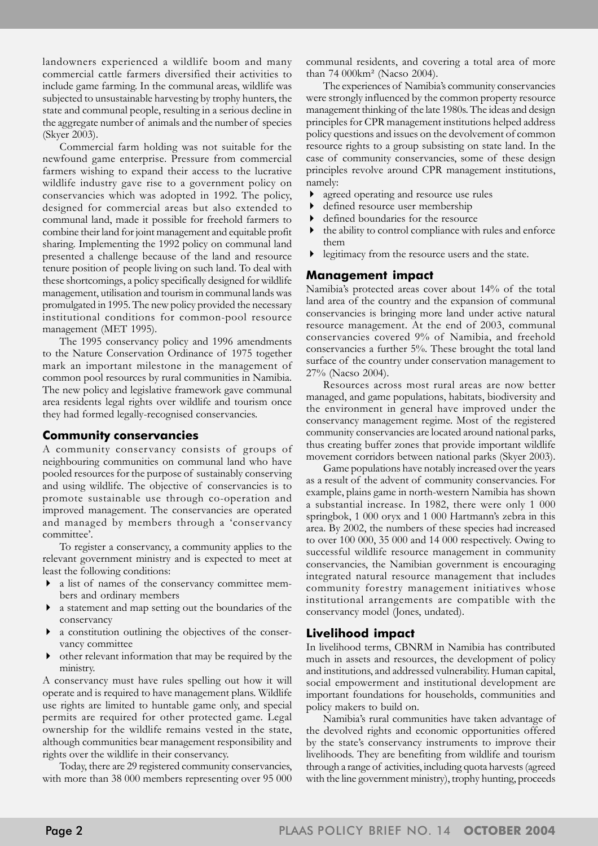landowners experienced a wildlife boom and many commercial cattle farmers diversified their activities to include game farming. In the communal areas, wildlife was subjected to unsustainable harvesting by trophy hunters, the state and communal people, resulting in a serious decline in the aggregate number of animals and the number of species (Skyer 2003).

Commercial farm holding was not suitable for the newfound game enterprise. Pressure from commercial farmers wishing to expand their access to the lucrative wildlife industry gave rise to a government policy on conservancies which was adopted in 1992. The policy, designed for commercial areas but also extended to communal land, made it possible for freehold farmers to combine their land for joint management and equitable profit sharing. Implementing the 1992 policy on communal land presented a challenge because of the land and resource tenure position of people living on such land. To deal with these shortcomings, a policy specifically designed for wildlife management, utilisation and tourism in communal lands was promulgated in 1995. The new policy provided the necessary institutional conditions for common-pool resource management (MET 1995).

The 1995 conservancy policy and 1996 amendments to the Nature Conservation Ordinance of 1975 together mark an important milestone in the management of common pool resources by rural communities in Namibia. The new policy and legislative framework gave communal area residents legal rights over wildlife and tourism once they had formed legally-recognised conservancies.

## **Community conservancies**

A community conservancy consists of groups of neighbouring communities on communal land who have pooled resources for the purpose of sustainably conserving and using wildlife. The objective of conservancies is to promote sustainable use through co-operation and improved management. The conservancies are operated and managed by members through a 'conservancy committee'.

To register a conservancy, a community applies to the relevant government ministry and is expected to meet at least the following conditions:

- a list of names of the conservancy committee members and ordinary members
- ! a statement and map setting out the boundaries of the conservancy
- a constitution outlining the objectives of the conservancy committee
- ! other relevant information that may be required by the ministry.

A conservancy must have rules spelling out how it will operate and is required to have management plans. Wildlife use rights are limited to huntable game only, and special permits are required for other protected game. Legal ownership for the wildlife remains vested in the state, although communities bear management responsibility and rights over the wildlife in their conservancy.

Today, there are 29 registered community conservancies, with more than 38 000 members representing over 95 000 communal residents, and covering a total area of more than 74 000km² (Nacso 2004).

The experiences of Namibiaís community conservancies were strongly influenced by the common property resource management thinking of the late 1980s. The ideas and design principles for CPR management institutions helped address policy questions and issues on the devolvement of common resource rights to a group subsisting on state land. In the case of community conservancies, some of these design principles revolve around CPR management institutions, namely:

- ! agreed operating and resource use rules
- ! defined resource user membership
- ! defined boundaries for the resource
- ! the ability to control compliance with rules and enforce them
- legitimacy from the resource users and the state.

## **Management impact**

Namibiaís protected areas cover about 14% of the total land area of the country and the expansion of communal conservancies is bringing more land under active natural resource management. At the end of 2003, communal conservancies covered 9% of Namibia, and freehold conservancies a further 5%. These brought the total land surface of the country under conservation management to 27% (Nacso 2004).

Resources across most rural areas are now better managed, and game populations, habitats, biodiversity and the environment in general have improved under the conservancy management regime. Most of the registered community conservancies are located around national parks, thus creating buffer zones that provide important wildlife movement corridors between national parks (Skyer 2003).

Game populations have notably increased over the years as a result of the advent of community conservancies. For example, plains game in north-western Namibia has shown a substantial increase. In 1982, there were only 1 000 springbok, 1 000 oryx and 1 000 Hartmann's zebra in this area. By 2002, the numbers of these species had increased to over 100 000, 35 000 and 14 000 respectively. Owing to successful wildlife resource management in community conservancies, the Namibian government is encouraging integrated natural resource management that includes community forestry management initiatives whose institutional arrangements are compatible with the conservancy model (Jones, undated).

## **Livelihood impact**

In livelihood terms, CBNRM in Namibia has contributed much in assets and resources, the development of policy and institutions, and addressed vulnerability. Human capital, social empowerment and institutional development are important foundations for households, communities and policy makers to build on.

Namibiaís rural communities have taken advantage of the devolved rights and economic opportunities offered by the state's conservancy instruments to improve their livelihoods. They are benefiting from wildlife and tourism through a range of activities, including quota harvests (agreed with the line government ministry), trophy hunting, proceeds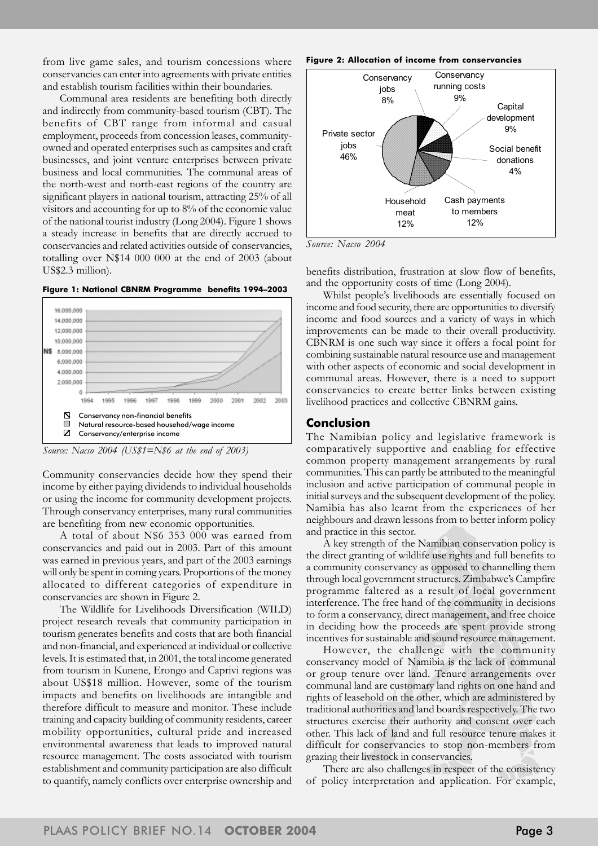from live game sales, and tourism concessions where conservancies can enter into agreements with private entities and establish tourism facilities within their boundaries.

Communal area residents are benefiting both directly and indirectly from community-based tourism (CBT). The benefits of CBT range from informal and casual employment, proceeds from concession leases, communityowned and operated enterprises such as campsites and craft businesses, and joint venture enterprises between private business and local communities. The communal areas of the north-west and north-east regions of the country are significant players in national tourism, attracting 25% of all visitors and accounting for up to 8% of the economic value of the national tourist industry (Long 2004). Figure 1 shows a steady increase in benefits that are directly accrued to conservancies and related activities outside of conservancies, totalling over N\$14 000 000 at the end of 2003 (about US\$2.3 million).





*Source: Nacso 2004 (US\$1=N\$6 at the end of 2003)*

Community conservancies decide how they spend their income by either paying dividends to individual households or using the income for community development projects. Through conservancy enterprises, many rural communities are benefiting from new economic opportunities.

A total of about N\$6 353 000 was earned from conservancies and paid out in 2003. Part of this amount was earned in previous years, and part of the 2003 earnings will only be spent in coming years. Proportions of the money allocated to different categories of expenditure in conservancies are shown in Figure 2.

The Wildlife for Livelihoods Diversification (WILD) project research reveals that community participation in tourism generates benefits and costs that are both financial and non-financial, and experienced at individual or collective levels. It is estimated that, in 2001, the total income generated from tourism in Kunene, Erongo and Caprivi regions was about US\$18 million. However, some of the tourism impacts and benefits on livelihoods are intangible and therefore difficult to measure and monitor. These include training and capacity building of community residents, career mobility opportunities, cultural pride and increased environmental awareness that leads to improved natural resource management. The costs associated with tourism establishment and community participation are also difficult to quantify, namely conflicts over enterprise ownership and

#### **Figure 2: Allocation of income from conservancies**



*Source: Nacso 2004*

benefits distribution, frustration at slow flow of benefits, and the opportunity costs of time (Long 2004).

Whilst people's livelihoods are essentially focused on income and food security, there are opportunities to diversify income and food sources and a variety of ways in which improvements can be made to their overall productivity. CBNRM is one such way since it offers a focal point for combining sustainable natural resource use and management with other aspects of economic and social development in communal areas. However, there is a need to support conservancies to create better links between existing livelihood practices and collective CBNRM gains.

#### **Conclusion**

The Namibian policy and legislative framework is comparatively supportive and enabling for effective common property management arrangements by rural communities. This can partly be attributed to the meaningful inclusion and active participation of communal people in initial surveys and the subsequent development of the policy. Namibia has also learnt from the experiences of her neighbours and drawn lessons from to better inform policy and practice in this sector.

A key strength of the Namibian conservation policy is the direct granting of wildlife use rights and full benefits to a community conservancy as opposed to channelling them through local government structures. Zimbabwe's Campfire programme faltered as a result of local government interference. The free hand of the community in decisions to form a conservancy, direct management, and free choice in deciding how the proceeds are spent provide strong incentives for sustainable and sound resource management.

However, the challenge with the community conservancy model of Namibia is the lack of communal or group tenure over land. Tenure arrangements over communal land are customary land rights on one hand and rights of leasehold on the other, which are administered by traditional authorities and land boards respectively. The two structures exercise their authority and consent over each other. This lack of land and full resource tenure makes it difficult for conservancies to stop non-members from grazing their livestock in conservancies.

There are also challenges in respect of the consistency of policy interpretation and application. For example,